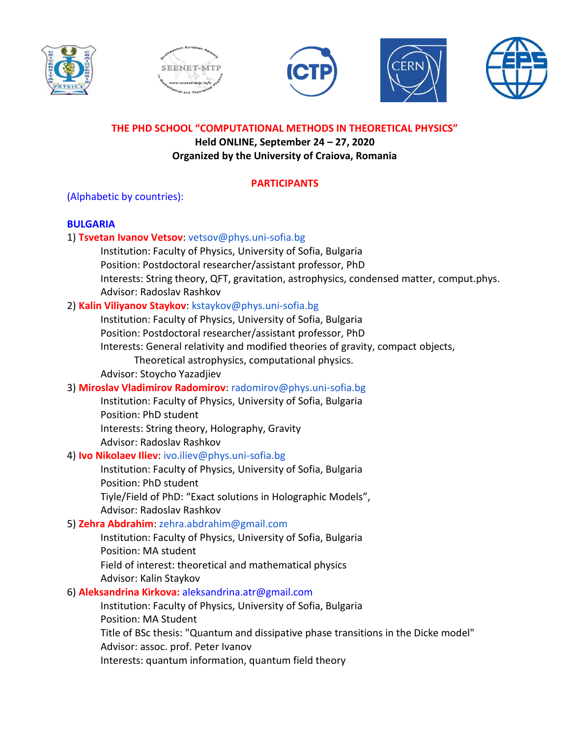









**THE PHD SCHOOL "COMPUTATIONAL METHODS IN THEORETICAL PHYSICS"**

**Held ONLINE, September 24 – 27, 2020 Organized by the University of Craiova, Romania**

# **PARTICIPANTS**

(Alphabetic by countries):

# **BULGARIA**

# 1) **Tsvetan Ivanov Vetsov**: vetsov@phys.uni-sofia.bg Institution: Faculty of Physics, University of Sofia, Bulgaria Position: Postdoctoral researcher/assistant professor, PhD Interests: String theory, QFT, gravitation, astrophysics, condensed matter, comput.phys. Advisor: Radoslav Rashkov 2) **Kalin Viliyanov Staykov**: kstaykov@phys.uni-sofia.bg Institution: Faculty of Physics, University of Sofia, Bulgaria Position: Postdoctoral researcher/assistant professor, PhD Interests: General relativity and modified theories of gravity, compact objects, Theoretical astrophysics, computational physics. Advisor: Stoycho Yazadjiev 3) **Miroslav Vladimirov Radomirov**: radomirov@phys.uni-sofia.bg Institution: Faculty of Physics, University of Sofia, Bulgaria Position: PhD student Interests: String theory, Holography, Gravity Advisor: Radoslav Rashkov 4) **Ivo Nikolaev Iliev**: ivo.iliev@phys.uni-sofia.bg Institution: Faculty of Physics, University of Sofia, Bulgaria Position: PhD student Tiyle/Field of PhD: "Exact solutions in Holographic Models", Advisor: Radoslav Rashkov 5) **Zehra Abdrahim**: zehra.abdrahim@gmail.com Institution: Faculty of Physics, University of Sofia, Bulgaria Position: MA student Field of interest: theoretical and mathematical physics Advisor: Kalin Staykov 6) **Aleksandrina Kirkova:** aleksandrina.atr@gmail.com

Institution: Faculty of Physics, University of Sofia, Bulgaria Position: MA Student Title of BSc thesis: "Quantum and dissipative phase transitions in the Dicke model" Advisor: assoc. prof. Peter Ivanov Interests: quantum information, quantum field theory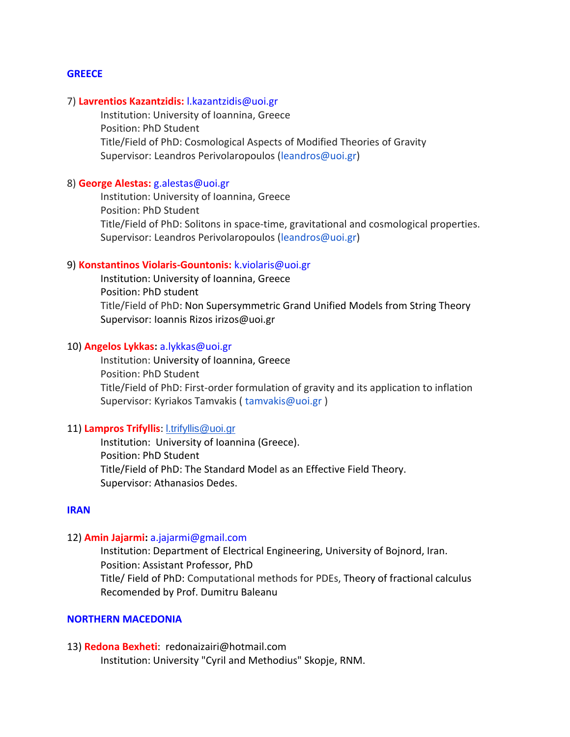#### **GREECE**

#### 7) **Lavrentios Kazantzidis:** l.kazantzidis@uoi.gr

Institution: University of Ioannina, Greece Position: PhD Student Title/Field of PhD: Cosmological Aspects of Modified Theories of Gravity Supervisor: Leandros Perivolaropoulos (leandros@uoi.gr)

#### 8) **George Alestas:** g.alestas@uoi.gr

Institution: University of Ioannina, Greece Position: PhD Student Title/Field of PhD: Solitons in space-time, gravitational and cosmological properties. Supervisor: Leandros Perivolaropoulos (leandros@uoi.gr)

#### 9) **Konstantinos Violaris-Gountonis:** k.violaris@uoi.gr

Institution: University of Ioannina, Greece Position: PhD student Title/Field of PhD: Non Supersymmetric Grand Unified Models from String Theory Supervisor: Ioannis Rizos irizos@uoi.gr

#### 10) **Angelos Lykkas:** a.lykkas@uoi.gr

Institution: University of Ioannina, Greece Position: PhD Student Title/Field of PhD: First-order formulation of gravity and its application to inflation Supervisor: Kyriakos Tamvakis ( tamvakis@uoi.gr )

#### 11) **Lampros Trifyllis**: [l.trifyllis@uoi.gr](mailto:l.trifyllis@uoi.gr)

Institution: University of Ioannina (Greece). Position: PhD Student Title/Field of PhD: The Standard Model as an Effective Field Theory. Supervisor: Athanasios Dedes.

#### **IRAN**

#### 12) **Amin Jajarmi:** a.jajarmi@gmail.com

Institution: Department of Electrical Engineering, University of Bojnord, Iran. Position: Assistant Professor, PhD Title/ Field of PhD: Computational methods for PDEs, Theory of fractional calculus Recomended by Prof. Dumitru Baleanu

#### **NORTHERN MACEDONIA**

### 13) **Redona Bexheti**: redonaizairi@hotmail.com Institution: University "Cyril and Methodius" Skopje, RNM.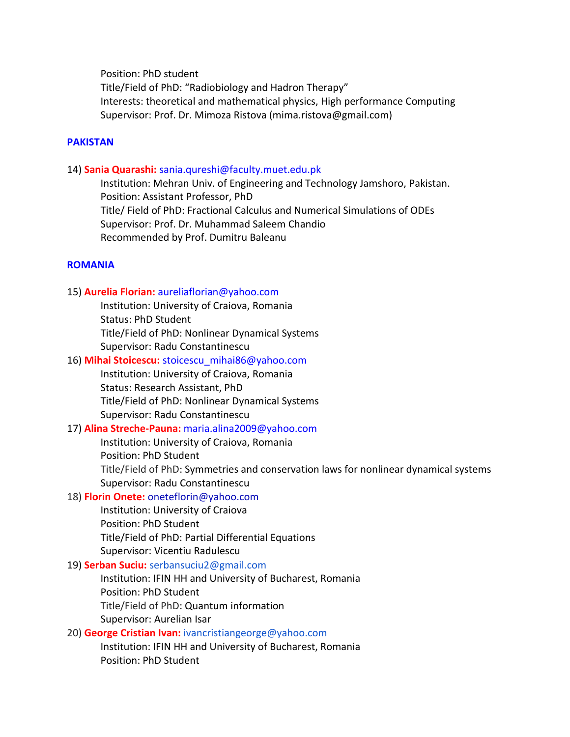Position: PhD student

Title/Field of PhD: "Radiobiology and Hadron Therapy" Interests: theoretical and mathematical physics, High performance Computing Supervisor: Prof. Dr. Mimoza Ristova (mima.ristova@gmail.com)

#### **PAKISTAN**

#### 14) **Sania Quarashi:** sania.qureshi@faculty.muet.edu.pk

Institution: Mehran Univ. of Engineering and Technology Jamshoro, Pakistan. Position: Assistant Professor, PhD Title/ Field of PhD: Fractional Calculus and Numerical Simulations of ODEs Supervisor: Prof. Dr. Muhammad Saleem Chandio Recommended by Prof. Dumitru Baleanu

#### **ROMANIA**

#### 15) **Aurelia Florian:** aureliaflorian@yahoo.com

Institution: University of Craiova, Romania Status: PhD Student Title/Field of PhD: Nonlinear Dynamical Systems Supervisor: Radu Constantinescu

#### 16) **Mihai Stoicescu:** stoicescu\_mihai86@yahoo.com

Institution: University of Craiova, Romania Status: Research Assistant, PhD Title/Field of PhD: Nonlinear Dynamical Systems Supervisor: Radu Constantinescu

#### 17) **Alina Streche-Pauna:** maria.alina2009@yahoo.com

Institution: University of Craiova, Romania Position: PhD Student Title/Field of PhD: Symmetries and conservation laws for nonlinear dynamical systems Supervisor: Radu Constantinescu

### 18) **Florin Onete:** oneteflorin@yahoo.com

Institution: University of Craiova Position: PhD Student Title/Field of PhD: Partial Differential Equations Supervisor: Vicentiu Radulescu

#### 19) **Serban Suciu:** serbansuciu2@gmail.com

Institution: IFIN HH and University of Bucharest, Romania Position: PhD Student Title/Field of PhD: Quantum information Supervisor: Aurelian Isar

### 20) **George Cristian Ivan:** ivancristiangeorge@yahoo.com

Institution: IFIN HH and University of Bucharest, Romania Position: PhD Student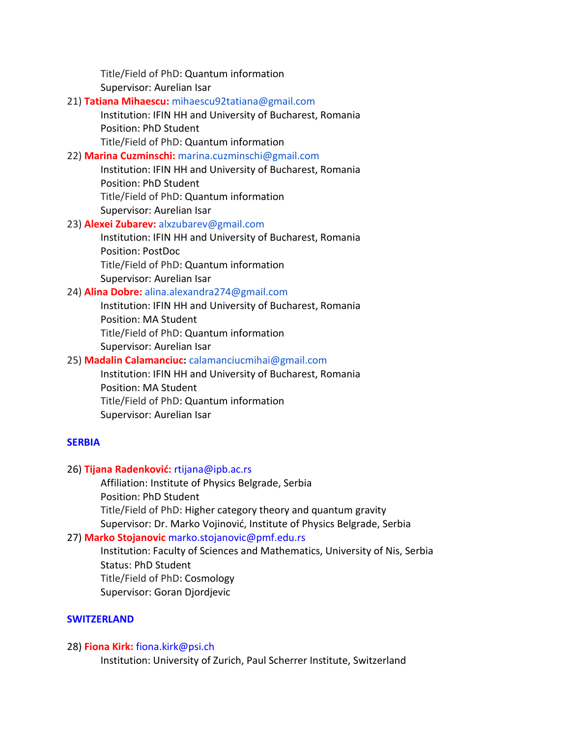Title/Field of PhD: Quantum information Supervisor: Aurelian Isar

# 21) **Tatiana Mihaescu:** mihaescu92tatiana@gmail.com

Institution: IFIN HH and University of Bucharest, Romania Position: PhD Student Title/Field of PhD: Quantum information

# 22) **Marina Cuzminschi:** marina.cuzminschi@gmail.com

Institution: IFIN HH and University of Bucharest, Romania Position: PhD Student Title/Field of PhD: Quantum information Supervisor: Aurelian Isar

# 23) **Alexei Zubarev:** alxzubarev@gmail.com

Institution: IFIN HH and University of Bucharest, Romania Position: PostDoc Title/Field of PhD: Quantum information

Supervisor: Aurelian Isar

## 24) **Alina Dobre:** alina.alexandra274@gmail.com

Institution: IFIN HH and University of Bucharest, Romania Position: MA Student Title/Field of PhD: Quantum information Supervisor: Aurelian Isar

## 25) **Madalin Calamanciuc:** calamanciucmihai@gmail.com

Institution: IFIN HH and University of Bucharest, Romania Position: MA Student Title/Field of PhD: Quantum information Supervisor: Aurelian Isar

# **SERBIA**

# 26) **Tijana Radenković:** rtijana@ipb.ac.rs

Affiliation: Institute of Physics Belgrade, Serbia Position: PhD Student Title/Field of PhD: Higher category theory and quantum gravity Supervisor: Dr. Marko Vojinović, Institute of Physics Belgrade, Serbia

# 27) **Marko Stojanovic** marko.stojanovic@pmf.edu.rs

Institution: Faculty of Sciences and Mathematics, University of Nis, Serbia Status: PhD Student Title/Field of PhD: Cosmology Supervisor: Goran Djordjevic

### **SWITZERLAND**

### 28) **Fiona Kirk:** fiona.kirk@psi.ch

Institution: University of Zurich, Paul Scherrer Institute, Switzerland